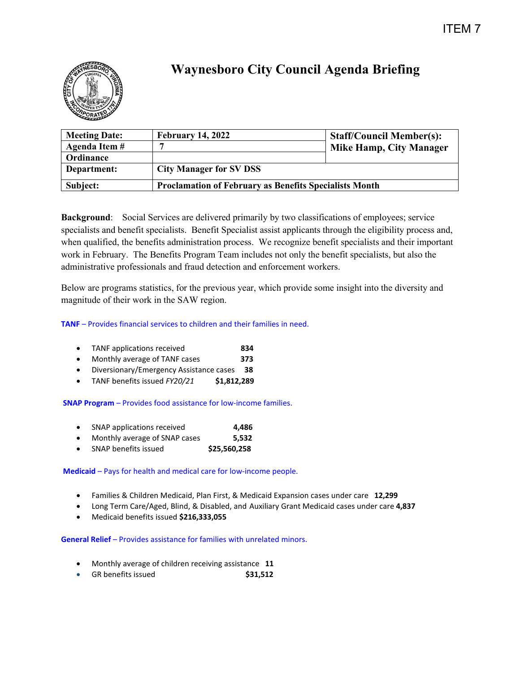

# **Waynesboro City Council Agenda Briefing**

| <b>Meeting Date:</b> | <b>February 14, 2022</b>                                      | <b>Staff/Council Member(s):</b> |
|----------------------|---------------------------------------------------------------|---------------------------------|
| Agenda Item #        |                                                               | <b>Mike Hamp, City Manager</b>  |
| Ordinance            |                                                               |                                 |
| Department:          | <b>City Manager for SV DSS</b>                                |                                 |
| Subject:             | <b>Proclamation of February as Benefits Specialists Month</b> |                                 |

**Background**: Social Services are delivered primarily by two classifications of employees; service specialists and benefit specialists. Benefit Specialist assist applicants through the eligibility process and, when qualified, the benefits administration process. We recognize benefit specialists and their important work in February. The Benefits Program Team includes not only the benefit specialists, but also the administrative professionals and fraud detection and enforcement workers.

Below are programs statistics, for the previous year, which provide some insight into the diversity and magnitude of their work in the SAW region.

# **TANF** – Provides financial services to children and their families in need.

- TANF applications received **834**
- Monthly average of TANF cases **373**
- Diversionary/Emergency Assistance cases **38**
- TANF benefits issued *FY20/21* **\$1,812,289**

## **SNAP Program** – Provides food assistance for low-income families.

- SNAP applications received **4,486**
- Monthly average of SNAP cases **5,532**
- SNAP benefits issued **\$25,560,258**

# **Medicaid** – Pays for health and medical care for low-income people.

- Families & Children Medicaid, Plan First, & Medicaid Expansion cases under care **12,299**
- Long Term Care/Aged, Blind, & Disabled, and Auxiliary Grant Medicaid cases under care **4,837**
- Medicaid benefits issued **\$216,333,055**

## **General Relief** – Provides assistance for families with unrelated minors.

- Monthly average of children receiving assistance **11**
- GR benefits issued **\$31,512**